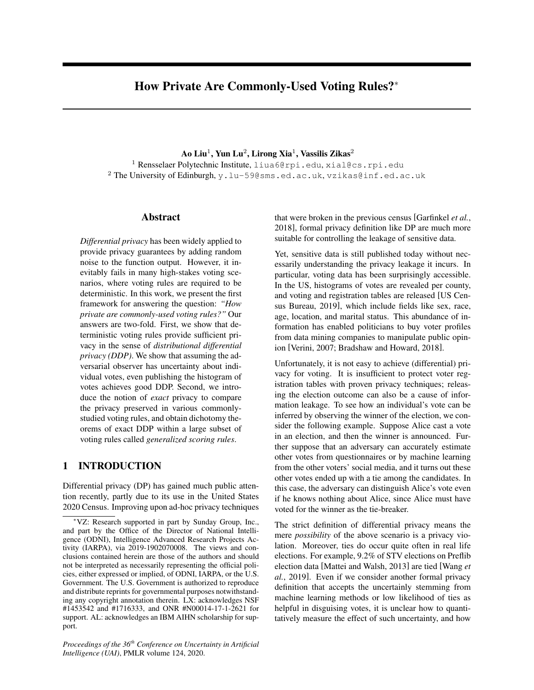# How Private Are Commonly-Used Voting Rules?<sup>∗</sup>

Ao Liu $^1$ , Yun Lu $^2$ , Lirong Xia $^1$ , Vassilis Zikas $^2$ <sup>1</sup> Rensselaer Polytechnic Institute, liua6@rpi.edu, xial@cs.rpi.edu  $2$  The University of Edinburgh, y.lu-59@sms.ed.ac.uk, vzikas@inf.ed.ac.uk

### Abstract

*Differential privacy* has been widely applied to provide privacy guarantees by adding random noise to the function output. However, it inevitably fails in many high-stakes voting scenarios, where voting rules are required to be deterministic. In this work, we present the first framework for answering the question: *"How private are commonly-used voting rules?"* Our answers are two-fold. First, we show that deterministic voting rules provide sufficient privacy in the sense of *distributional differential privacy (DDP)*. We show that assuming the adversarial observer has uncertainty about individual votes, even publishing the histogram of votes achieves good DDP. Second, we introduce the notion of *exact* privacy to compare the privacy preserved in various commonlystudied voting rules, and obtain dichotomy theorems of exact DDP within a large subset of voting rules called *generalized scoring rules*.

### 1 INTRODUCTION

Differential privacy (DP) has gained much public attention recently, partly due to its use in the United States 2020 Census. Improving upon ad-hoc privacy techniques

*Proceedings of the 36th Conference on Uncertainty in Artificial Intelligence (UAI)*, PMLR volume 124, 2020.

that were broken in the previous census [Garfinkel *et al.*, 2018], formal privacy definition like DP are much more suitable for controlling the leakage of sensitive data.

Yet, sensitive data is still published today without necessarily understanding the privacy leakage it incurs. In particular, voting data has been surprisingly accessible. In the US, histograms of votes are revealed per county, and voting and registration tables are released [US Census Bureau, 2019], which include fields like sex, race, age, location, and marital status. This abundance of information has enabled politicians to buy voter profiles from data mining companies to manipulate public opinion [Verini, 2007; Bradshaw and Howard, 2018].

Unfortunately, it is not easy to achieve (differential) privacy for voting. It is insufficient to protect voter registration tables with proven privacy techniques; releasing the election outcome can also be a cause of information leakage. To see how an individual's vote can be inferred by observing the winner of the election, we consider the following example. Suppose Alice cast a vote in an election, and then the winner is announced. Further suppose that an adversary can accurately estimate other votes from questionnaires or by machine learning from the other voters' social media, and it turns out these other votes ended up with a tie among the candidates. In this case, the adversary can distinguish Alice's vote even if he knows nothing about Alice, since Alice must have voted for the winner as the tie-breaker.

The strict definition of differential privacy means the mere *possibility* of the above scenario is a privacy violation. Moreover, ties do occur quite often in real life elections. For example, 9.2% of STV elections on Preflib election data [Mattei and Walsh, 2013] are tied [Wang *et al.*, 2019]. Even if we consider another formal privacy definition that accepts the uncertainly stemming from machine learning methods or low likelihood of ties as helpful in disguising votes, it is unclear how to quantitatively measure the effect of such uncertainty, and how

<sup>∗</sup>VZ: Research supported in part by Sunday Group, Inc., and part by the Office of the Director of National Intelligence (ODNI), Intelligence Advanced Research Projects Activity (IARPA), via 2019-1902070008. The views and conclusions contained herein are those of the authors and should not be interpreted as necessarily representing the official policies, either expressed or implied, of ODNI, IARPA, or the U.S. Government. The U.S. Government is authorized to reproduce and distribute reprints for governmental purposes notwithstanding any copyright annotation therein. LX: acknowledges NSF #1453542 and #1716333, and ONR #N00014-17-1-2621 for support. AL: acknowledges an IBM AIHN scholarship for support.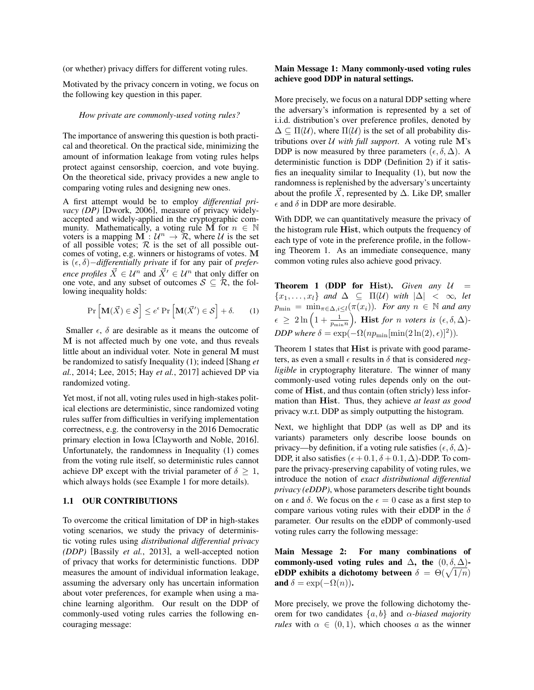(or whether) privacy differs for different voting rules.

Motivated by the privacy concern in voting, we focus on the following key question in this paper.

#### *How private are commonly-used voting rules?*

The importance of answering this question is both practical and theoretical. On the practical side, minimizing the amount of information leakage from voting rules helps protect against censorship, coercion, and vote buying. On the theoretical side, privacy provides a new angle to comparing voting rules and designing new ones.

A first attempt would be to employ *differential privacy (DP)* [Dwork, 2006], measure of privacy widelyaccepted and widely-applied in the cryptographic community. Mathematically, a voting rule M for  $n \in \mathbb{N}$ voters is a mapping  $\mathbf{M}$ :  $\mathcal{U}^n \to \mathcal{R}$ , where U is the set of all possible votes;  $R$  is the set of all possible outcomes of voting, e.g. winners or histograms of votes. M is  $(ε, δ)$ *−differentially private* if for any pair of *preference profiles*  $\overline{X} \in \mathcal{U}^n$  and  $\overline{X}' \in \mathcal{U}^n$  that only differ on one vote, and any subset of outcomes  $S \subseteq \mathcal{R}$ , the following inequality holds:

$$
\Pr\left[\mathbf{M}(\vec{X}) \in \mathcal{S}\right] \le e^{\epsilon} \Pr\left[\mathbf{M}(\vec{X}') \in \mathcal{S}\right] + \delta. \tag{1}
$$

Smaller  $\epsilon$ ,  $\delta$  are desirable as it means the outcome of M is not affected much by one vote, and thus reveals little about an individual voter. Note in general M must be randomized to satisfy Inequality (1); indeed [Shang *et al.*, 2014; Lee, 2015; Hay *et al.*, 2017] achieved DP via randomized voting.

Yet most, if not all, voting rules used in high-stakes political elections are deterministic, since randomized voting rules suffer from difficulties in verifying implementation correctness, e.g. the controversy in the 2016 Democratic primary election in Iowa [Clayworth and Noble, 2016]. Unfortunately, the randomness in Inequality (1) comes from the voting rule itself, so deterministic rules cannot achieve DP except with the trivial parameter of  $\delta > 1$ , which always holds (see Example 1 for more details).

#### 1.1 OUR CONTRIBUTIONS

To overcome the critical limitation of DP in high-stakes voting scenarios, we study the privacy of deterministic voting rules using *distributional differential privacy (DDP)* [Bassily *et al.*, 2013], a well-accepted notion of privacy that works for deterministic functions. DDP measures the amount of individual information leakage, assuming the adversary only has uncertain information about voter preferences, for example when using a machine learning algorithm. Our result on the DDP of commonly-used voting rules carries the following encouraging message:

#### Main Message 1: Many commonly-used voting rules achieve good DDP in natural settings.

More precisely, we focus on a natural DDP setting where the adversary's information is represented by a set of i.i.d. distribution's over preference profiles, denoted by  $\Delta \subset \Pi(\mathcal{U})$ , where  $\Pi(\mathcal{U})$  is the set of all probability distributions over  $U$  *with full support*. A voting rule M's DDP is now measured by three parameters  $(\epsilon, \delta, \Delta)$ . A deterministic function is DDP (Definition 2) if it satisfies an inequality similar to Inequality (1), but now the randomness is replenished by the adversary's uncertainty about the profile  $\overline{X}$ , represented by  $\Delta$ . Like DP, smaller  $\epsilon$  and  $\delta$  in DDP are more desirable.

With DDP, we can quantitatively measure the privacy of the histogram rule Hist, which outputs the frequency of each type of vote in the preference profile, in the following Theorem 1. As an immediate consequence, many common voting rules also achieve good privacy.

**Theorem 1 (DDP for Hist).** *Given any*  $U =$  $\{x_1, \ldots, x_l\}$  *and*  $\Delta \subseteq \Pi(\mathcal{U})$  *with*  $|\Delta| < \infty$ *, let*  $p_{\min} = \min_{\pi \in \Delta, i \leq l} (\pi(x_i))$ *. For any*  $n \in \mathbb{N}$  *and any*  $\epsilon \geq 2\ln\left(1+\frac{1}{p_{\min}n}\right)$ , **Hist** for n voters is  $(\epsilon, \delta, \Delta)$ -*DDP where*  $\delta = \exp(-\Omega(np_{\min}[\min(2\ln(2), \epsilon)]^2)).$ 

Theorem 1 states that **Hist** is private with good parameters, as even a small  $\epsilon$  results in  $\delta$  that is considered *negligible* in cryptography literature. The winner of many commonly-used voting rules depends only on the outcome of Hist, and thus contain (often stricly) less information than Hist. Thus, they achieve *at least as good* privacy w.r.t. DDP as simply outputting the histogram.

Next, we highlight that DDP (as well as DP and its variants) parameters only describe loose bounds on privacy—by definition, if a voting rule satisfies  $(\epsilon, \delta, \Delta)$ -DDP, it also satisfies  $(\epsilon + 0.1, \delta + 0.1, \Delta)$ -DDP. To compare the privacy-preserving capability of voting rules, we introduce the notion of *exact distributional differential privacy (eDDP)*, whose parameters describe tight bounds on  $\epsilon$  and  $\delta$ . We focus on the  $\epsilon = 0$  case as a first step to compare various voting rules with their eDDP in the  $\delta$ parameter. Our results on the eDDP of commonly-used voting rules carry the following message:

Main Message 2: For many combinations of commonly-used voting rules and  $\Delta$ , the  $(0, \delta, \Delta)$ eDDP exhibits a dichotomy between  $\delta = \Theta(\sqrt{1/n})$ and  $\delta = \exp(-\Omega(n))$ .

More precisely, we prove the following dichotomy theorem for two candidates {a, b} and α*-biased majority rules* with  $\alpha \in (0,1)$ , which chooses a as the winner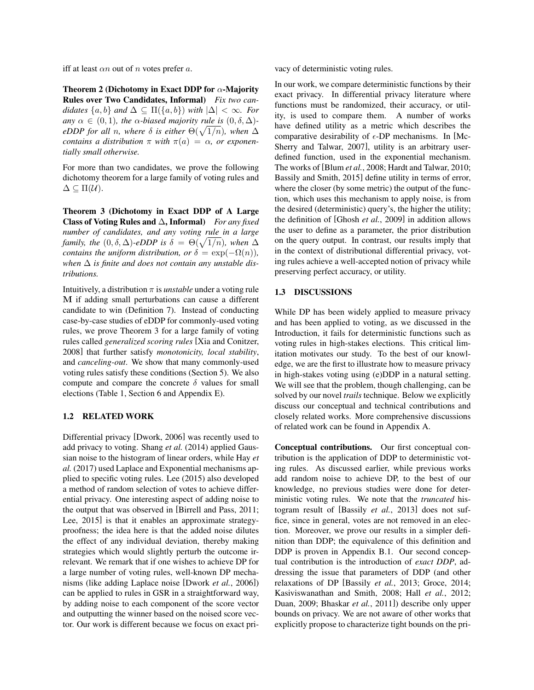iff at least  $\alpha n$  out of n votes prefer a.

Theorem 2 (Dichotomy in Exact DDP for  $\alpha$ -Majority Rules over Two Candidates, Informal) *Fix two candidates*  $\{a, b\}$  *and*  $\Delta \subseteq \Pi(\{a, b\})$  *with*  $|\Delta| < \infty$ *. For any*  $\alpha \in (0, 1)$ *, the*  $\alpha$ *-biased majority rule is*  $(0, \delta, \Delta)$ *eDDP for all n, where*  $\delta$  *is either*  $\Theta(\sqrt{1/n})$ *, when*  $\Delta$ *contains a distribution*  $\pi$  *with*  $\pi(a) = \alpha$ *, or exponentially small otherwise.*

For more than two candidates, we prove the following dichotomy theorem for a large family of voting rules and  $\Delta \subseteq \Pi(\mathcal{U}).$ 

Theorem 3 (Dichotomy in Exact DDP of A Large Class of Voting Rules and ∆, Informal) *For any fixed number of candidates, and any voting rule in a large family, the*  $(0, \delta, \Delta)$ -eDDP is  $\delta = \Theta(\sqrt{1/n})$ , when  $\Delta$ *contains the uniform distribution, or*  $\delta = \exp(-\Omega(n))$ *, when* ∆ *is finite and does not contain any unstable distributions.*

Intuitively, a distribution  $\pi$  is *unstable* under a voting rule M if adding small perturbations can cause a different candidate to win (Definition 7). Instead of conducting case-by-case studies of eDDP for commonly-used voting rules, we prove Theorem 3 for a large family of voting rules called *generalized scoring rules* [Xia and Conitzer, 2008] that further satisfy *monotonicity, local stability*, and *canceling-out*. We show that many commonly-used voting rules satisfy these conditions (Section 5). We also compute and compare the concrete  $\delta$  values for small elections (Table 1, Section 6 and Appendix E).

### 1.2 RELATED WORK

Differential privacy [Dwork, 2006] was recently used to add privacy to voting. Shang *et al.* (2014) applied Gaussian noise to the histogram of linear orders, while Hay *et al.* (2017) used Laplace and Exponential mechanisms applied to specific voting rules. Lee (2015) also developed a method of random selection of votes to achieve differential privacy. One interesting aspect of adding noise to the output that was observed in [Birrell and Pass, 2011; Lee, 2015] is that it enables an approximate strategyproofness; the idea here is that the added noise dilutes the effect of any individual deviation, thereby making strategies which would slightly perturb the outcome irrelevant. We remark that if one wishes to achieve DP for a large number of voting rules, well-known DP mechanisms (like adding Laplace noise [Dwork *et al.*, 2006]) can be applied to rules in GSR in a straightforward way, by adding noise to each component of the score vector and outputting the winner based on the noised score vector. Our work is different because we focus on exact privacy of deterministic voting rules.

In our work, we compare deterministic functions by their exact privacy. In differential privacy literature where functions must be randomized, their accuracy, or utility, is used to compare them. A number of works have defined utility as a metric which describes the comparative desirability of  $\epsilon$ -DP mechanisms. In [Mc-Sherry and Talwar, 2007], utility is an arbitrary userdefined function, used in the exponential mechanism. The works of [Blum *et al.*, 2008; Hardt and Talwar, 2010; Bassily and Smith, 2015] define utility in terms of error, where the closer (by some metric) the output of the function, which uses this mechanism to apply noise, is from the desired (deterministic) query's, the higher the utility; the definition of [Ghosh *et al.*, 2009] in addition allows the user to define as a parameter, the prior distribution on the query output. In contrast, our results imply that in the context of distributional differential privacy, voting rules achieve a well-accepted notion of privacy while preserving perfect accuracy, or utility.

### 1.3 DISCUSSIONS

While DP has been widely applied to measure privacy and has been applied to voting, as we discussed in the Introduction, it fails for deterministic functions such as voting rules in high-stakes elections. This critical limitation motivates our study. To the best of our knowledge, we are the first to illustrate how to measure privacy in high-stakes voting using (e)DDP in a natural setting. We will see that the problem, though challenging, can be solved by our novel *trails* technique. Below we explicitly discuss our conceptual and technical contributions and closely related works. More comprehensive discussions of related work can be found in Appendix A.

Conceptual contributions. Our first conceptual contribution is the application of DDP to deterministic voting rules. As discussed earlier, while previous works add random noise to achieve DP, to the best of our knowledge, no previous studies were done for deterministic voting rules. We note that the *truncated* histogram result of [Bassily *et al.*, 2013] does not suffice, since in general, votes are not removed in an election. Moreover, we prove our results in a simpler definition than DDP; the equivalence of this definition and DDP is proven in Appendix B.1. Our second conceptual contribution is the introduction of *exact DDP*, addressing the issue that parameters of DDP (and other relaxations of DP [Bassily *et al.*, 2013; Groce, 2014; Kasiviswanathan and Smith, 2008; Hall *et al.*, 2012; Duan, 2009; Bhaskar *et al.*, 2011]) describe only upper bounds on privacy. We are not aware of other works that explicitly propose to characterize tight bounds on the pri-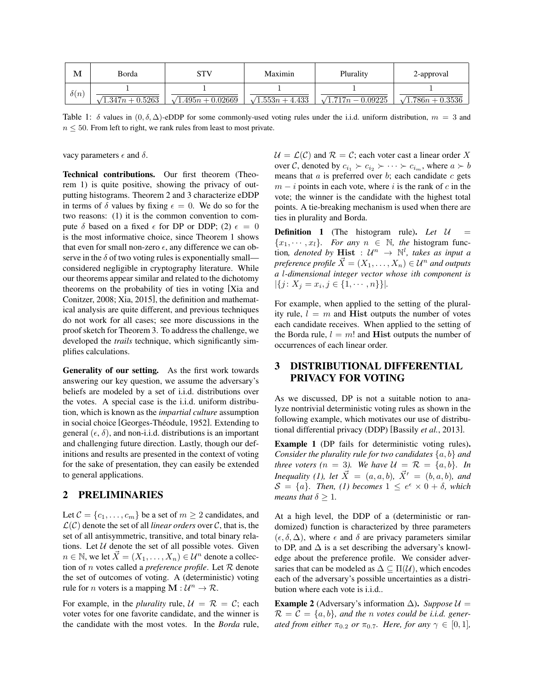| М           | Borda                    |                           | Maximin               | Plurality                 | 2-approval               |
|-------------|--------------------------|---------------------------|-----------------------|---------------------------|--------------------------|
| $\delta(n)$ |                          |                           |                       |                           |                          |
|             | $\sqrt{1.347n + 0.5263}$ | $\sqrt{1.495n + 0.02669}$ | $\sqrt{1.553n+4.433}$ | $\sqrt{1.717n - 0.09225}$ | $\sqrt{1.786n + 0.3536}$ |

Table 1:  $\delta$  values in  $(0, \delta, \Delta)$ -eDDP for some commonly-used voting rules under the i.i.d. uniform distribution,  $m = 3$  and  $n \leq 50$ . From left to right, we rank rules from least to most private.

vacy parameters  $\epsilon$  and  $\delta$ .

Technical contributions. Our first theorem (Theorem 1) is quite positive, showing the privacy of outputting histograms. Theorem 2 and 3 characterize eDDP in terms of  $\delta$  values by fixing  $\epsilon = 0$ . We do so for the two reasons: (1) it is the common convention to compute  $\delta$  based on a fixed  $\epsilon$  for DP or DDP; (2)  $\epsilon = 0$ is the most informative choice, since Theorem 1 shows that even for small non-zero  $\epsilon$ , any difference we can observe in the  $\delta$  of two voting rules is exponentially small considered negligible in cryptography literature. While our theorems appear similar and related to the dichotomy theorems on the probability of ties in voting [Xia and Conitzer, 2008; Xia, 2015], the definition and mathematical analysis are quite different, and previous techniques do not work for all cases; see more discussions in the proof sketch for Theorem 3. To address the challenge, we developed the *trails* technique, which significantly simplifies calculations.

Generality of our setting. As the first work towards answering our key question, we assume the adversary's beliefs are modeled by a set of i.i.d. distributions over the votes. A special case is the i.i.d. uniform distribution, which is known as the *impartial culture* assumption in social choice [Georges-Théodule, 1952]. Extending to general  $(\epsilon, \delta)$ , and non-i.i.d. distributions is an important and challenging future direction. Lastly, though our definitions and results are presented in the context of voting for the sake of presentation, they can easily be extended to general applications.

### 2 PRELIMINARIES

Let  $C = \{c_1, \ldots, c_m\}$  be a set of  $m \geq 2$  candidates, and  $\mathcal{L}(\mathcal{C})$  denote the set of all *linear orders* over  $\mathcal{C}$ , that is, the set of all antisymmetric, transitive, and total binary relations. Let  $U$  denote the set of all possible votes. Given  $n \in \mathbb{N}$ , we let  $\vec{X} = (X_1, \ldots, X_n) \in \mathcal{U}^n$  denote a collection of n votes called a *preference profile*. Let R denote the set of outcomes of voting. A (deterministic) voting rule for *n* voters is a mapping  $M : \mathcal{U}^n \to \mathcal{R}$ .

For example, in the *plurality* rule,  $\mathcal{U} = \mathcal{R} = \mathcal{C}$ ; each voter votes for one favorite candidate, and the winner is the candidate with the most votes. In the *Borda* rule,  $U = \mathcal{L}(\mathcal{C})$  and  $\mathcal{R} = \mathcal{C}$ ; each voter cast a linear order X over C, denoted by  $c_{i_1} \succ c_{i_2} \succ \cdots \succ c_{i_m}$ , where  $a \succ b$ means that  $a$  is preferred over  $b$ ; each candidate  $c$  gets  $m - i$  points in each vote, where i is the rank of c in the vote; the winner is the candidate with the highest total points. A tie-breaking mechanism is used when there are ties in plurality and Borda.

**Definition 1** (The histogram rule). Let  $U$  ${x_1, \dots, x_l}$ *. For any*  $n \in \mathbb{N}$ *, the histogram func*tion, denoted by **Hist** :  $\mathcal{U}^n \rightarrow \mathbb{N}^l$ , takes as input a *preference profile*  $\vec{X} = (X_1, \ldots, X_n) \in \mathcal{U}^n$  *and outputs a* l*-dimensional integer vector whose* i*th component is*  $|\{j: X_j = x_i, j \in \{1, \cdots, n\}\}|.$ 

For example, when applied to the setting of the plurality rule,  $l = m$  and **Hist** outputs the number of votes each candidate receives. When applied to the setting of the Borda rule,  $l = m!$  and Hist outputs the number of occurrences of each linear order.

## 3 DISTRIBUTIONAL DIFFERENTIAL PRIVACY FOR VOTING

As we discussed, DP is not a suitable notion to analyze nontrivial deterministic voting rules as shown in the following example, which motivates our use of distributional differential privacy (DDP) [Bassily *et al.*, 2013].

Example 1 (DP fails for deterministic voting rules). *Consider the plurality rule for two candidates* {a, b} *and three voters (n = 3). We have*  $\mathcal{U} = \mathcal{R} = \{a, b\}$ *. In Inequality (1), let*  $\vec{X} = (a, a, b), \vec{X}' = (b, a, b)$ *, and*  $S = \{a\}$ . Then, (1) becomes  $1 \leq e^{\epsilon} \times 0 + \delta$ , which *means that*  $\delta > 1$ *.* 

At a high level, the DDP of a (deterministic or randomized) function is characterized by three parameters  $(\epsilon, \delta, \Delta)$ , where  $\epsilon$  and  $\delta$  are privacy parameters similar to DP, and  $\Delta$  is a set describing the adversary's knowledge about the preference profile. We consider adversaries that can be modeled as  $\Delta \subseteq \Pi(\mathcal{U})$ , which encodes each of the adversary's possible uncertainties as a distribution where each vote is i.i.d..

**Example 2** (Adversary's information  $\Delta$ ). *Suppose*  $\mathcal{U} =$  $\mathcal{R} = \mathcal{C} = \{a, b\}$ , and the *n* votes could be *i.i.d.* gener*ated from either*  $\pi_{0.2}$  *or*  $\pi_{0.7}$ *. Here, for any*  $\gamma \in [0, 1]$ *,*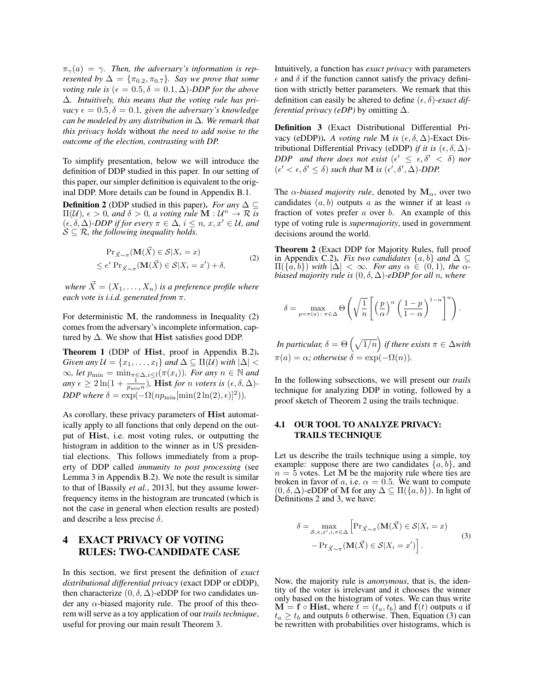$\pi_{\gamma}(a) = \gamma$ . Then, the adversary's information is rep*resented by*  $\Delta = {\pi_{0.2}, \pi_{0.7}}$ *. Say we prove that some voting rule is*  $(\epsilon = 0.5, \delta = 0.1, \Delta)$ *-DDP for the above* ∆*. Intuitively, this means that the voting rule has privacy*  $\epsilon = 0.5, \delta = 0.1$ , given the adversary's knowledge *can be modeled by any distribution in* ∆*. We remark that this privacy holds* without *the need to add noise to the outcome of the election, contrasting with DP.*

To simplify presentation, below we will introduce the definition of DDP studied in this paper. In our setting of this paper, our simpler definition is equivalent to the original DDP. More details can be found in Appendix B.1.

**Definition 2** (DDP studied in this paper). *For any*  $\Delta \subseteq$  $\Pi(\mathcal{U})$ ,  $\epsilon > 0$ , and  $\delta > 0$ , a voting rule  $\mathbf{\hat{M}} : \mathcal{U}^n \to \mathcal{R}$  is  $(\epsilon, \delta, \Delta)$ *-DDP if for every*  $\pi \in \Delta$ *, i*  $\leq n$ *, x<sub>1</sub>, x'*  $\in \mathcal{U}$ *, and*  $\mathcal{S} \subseteq \mathcal{R}$ , the following inequality holds.

$$
\Pr_{\vec{X}\sim\pi}(\mathbf{M}(\vec{X}) \in \mathcal{S}|X_i = x)
$$
  
\$\le e^{\epsilon} \Pr\_{\vec{X}\sim\pi}(\mathbf{M}(\vec{X}) \in \mathcal{S}|X\_i = x') + \delta\$, \qquad (2)\$

*where*  $\vec{X} = (X_1, \ldots, X_n)$  *is a preference profile where each vote is i.i.d. generated from* π*.*

For deterministic M, the randomness in Inequality (2) comes from the adversary's incomplete information, captured by  $\Delta$ . We show that **Hist** satisfies good DDP.

Theorem 1 (DDP of Hist, proof in Appendix B.2). *Given any*  $\mathcal{U} = \{x_1, \ldots, x_l\}$  *and*  $\Delta \subseteq \Pi(\mathcal{U})$  *with*  $|\Delta|$  <  $\infty$ *, let*  $p_{\min} = \min_{\pi \in \Delta, i \leq l} (\pi(x_i))$ *. For any*  $n \in \mathbb{N}$  *and*  $a_n y \in \geq 2 \ln(1 + \frac{1}{p_{\min}n})$ , **Hist** for *n* voters is  $(\epsilon, \delta, \Delta)$ -*DDP where*  $\delta = \exp(-\Omega(np_{\min}[\min(2\ln(2), \epsilon)]^2)).$ 

As corollary, these privacy parameters of Hist automatically apply to all functions that only depend on the output of Hist, i.e. most voting rules, or outputting the histogram in addition to the winner as in US presidential elections. This follows immediately from a property of DDP called *immunity to post processing* (see Lemma 3 in Appendix B.2). We note the result is similar to that of [Bassily *et al.*, 2013], but they assume lowerfrequency items in the histogram are truncated (which is not the case in general when election results are posted) and describe a less precise  $\delta$ .

## 4 EXACT PRIVACY OF VOTING RULES: TWO-CANDIDATE CASE

In this section, we first present the definition of *exact distributional differential privacy* (exact DDP or eDDP), then characterize  $(0, \delta, \Delta)$ -eDDP for two candidates under any  $\alpha$ -biased majority rule. The proof of this theorem will serve as a toy application of our *trails technique*, useful for proving our main result Theorem 3.

Intuitively, a function has *exact privacy* with parameters  $\epsilon$  and  $\delta$  if the function cannot satisfy the privacy definition with strictly better parameters. We remark that this definition can easily be altered to define  $(\epsilon, \delta)$ -exact dif*ferential privacy (eDP)* by omitting ∆.

Definition 3 (Exact Distributional Differential Privacy (eDDP)). *A voting rule* M *is*  $(\epsilon, \delta, \Delta)$ -Exact Distributional Differential Privacy (eDDP) *if it is*  $(\epsilon, \delta, \Delta)$ -*DDP* and there does not exist  $(\epsilon' \leq \epsilon, \delta' < \delta)$  nor  $(\epsilon' < \epsilon, \delta' \leq \delta)$  such that **M** is  $(\epsilon', \delta', \Delta)$ -DDP.

The  $\alpha$ -biased majority rule, denoted by  $\mathbf{M}_{\alpha}$ , over two candidates  $(a, b)$  outputs a as the winner if at least  $\alpha$ fraction of votes prefer  $a$  over  $b$ . An example of this type of voting rule is *supermajority*, used in government decisions around the world.

Theorem 2 (Exact DDP for Majority Rules, full proof in Appendix C.2). *Fix two candidates*  $\{a, b\}$  *and*  $\Delta \subseteq$  $\Pi({a,b})$  *with*  $|\Delta| < \infty$ *. For any*  $\alpha \in (0,1)$ *, the*  $\alpha$ *biased majority rule is*  $(0, \delta, \Delta)$ -*eDDP for all n, where* 

$$
\delta = \max_{p=\pi(a): \pi \in \Delta} \Theta \left( \sqrt{\frac{1}{n}} \left[ \left( \frac{p}{\alpha} \right)^{\alpha} \left( \frac{1-p}{1-\alpha} \right)^{1-\alpha} \right]^{n} \right).
$$

*In particular,*  $\delta = \Theta\left(\sqrt{1/n}\right)$  *if there exists*  $\pi \in \Delta$ *with*  $\pi(a) = \alpha$ *; otherwise*  $\delta = \exp(-\Omega(n))$ *.* 

In the following subsections, we will present our *trails* technique for analyzing DDP in voting, followed by a proof sketch of Theorem 2 using the trails technique.

#### 4.1 OUR TOOL TO ANALYZE PRIVACY: TRAILS TECHNIQUE

Let us describe the trails technique using a simple, toy example: suppose there are two candidates  $\{a, b\}$ , and  $n = 5$  votes. Let M be the majority rule where ties are broken in favor of a, i.e.  $\alpha = 0.5$ . We want to compute  $(0, \delta, \Delta)$ -eDDP of M for any  $\Delta \subseteq \Pi({a, b})$ . In light of Definitions 2 and 3, we have:

$$
\delta = \max_{\mathcal{S}, x, x', i, \pi \in \Delta} \left[ \Pr_{\vec{X} \sim \pi} (\mathbf{M}(\vec{X}) \in \mathcal{S} | X_i = x) - \Pr_{\vec{X} \sim \pi} (\mathbf{M}(\vec{X}) \in \mathcal{S} | X_i = x') \right].
$$
\n(3)

Now, the majority rule is *anonymous*, that is, the identity of the voter is irrelevant and it chooses the winner only based on the histogram of votes. We can thus write  $\mathbf{M} = \mathbf{f} \circ \mathbf{Hist}$ , where  $t = (t_a, t_b)$  and  $\mathbf{f}(t)$  outputs a if  $t_a \geq t_b$  and outputs b otherwise. Then, Equation (3) can be rewritten with probabilities over histograms, which is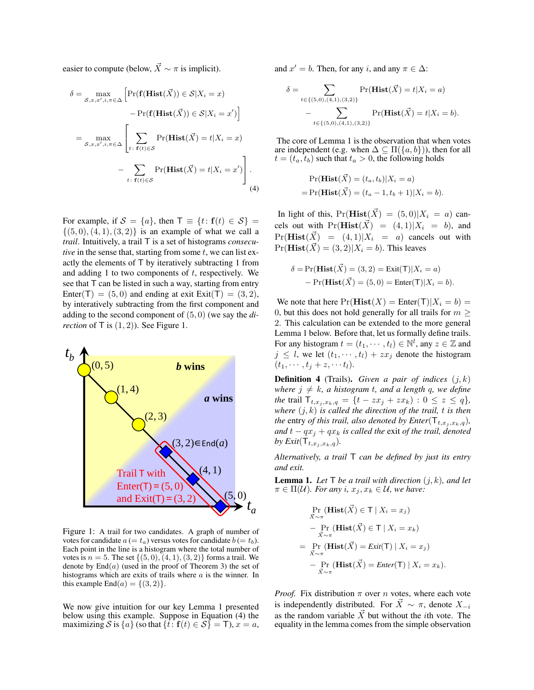easier to compute (below,  $\vec{X} \sim \pi$  is implicit).

$$
\delta = \max_{\mathcal{S}, x, x', i, \pi \in \Delta} \left[ \Pr(\mathbf{f(Hist}(\vec{X})) \in \mathcal{S} | X_i = x) - \Pr(\mathbf{f(Hist}(\vec{X})) \in \mathcal{S} | X_i = x') \right]
$$

$$
= \max_{\mathcal{S}, x, x', i, \pi \in \Delta} \left[ \sum_{t: \ \mathbf{f}(t) \in \mathcal{S}} \Pr(\mathbf{Hist}(\vec{X}) = t | X_i = x) - \sum_{t: \ \mathbf{f}(t) \in \mathcal{S}} \Pr(\mathbf{Hist}(\vec{X}) = t | X_i = x') \right].
$$

For example, if  $S = \{a\}$ , then  $\mathsf{T} \equiv \{t : \mathbf{f}(t) \in S\}$  $\{(5,0), (4,1), (3,2)\}\$ is an example of what we call a *trail*. Intuitively, a trail T is a set of histograms *consecutive* in the sense that, starting from some  $t$ , we can list exactly the elements of T by iteratively subtracting 1 from and adding 1 to two components of  $t$ , respectively. We see that T can be listed in such a way, starting from entry Enter(T) =  $(5,0)$  and ending at exit Exit(T) =  $(3,2)$ , by interatively subtracting from the first component and adding to the second component of (5, 0) (we say the *direction* of  $\mathsf{T}$  is  $(1, 2)$ ). See Figure 1.



Figure 1: A trail for two candidates. A graph of number of votes for candidate  $a (= t_a)$  versus votes for candidate  $b (= t_b)$ . Each point in the line is a histogram where the total number of votes is  $n = 5$ . The set  $\{(5, 0), (4, 1), (3, 2)\}\)$  forms a trail. We denote by  $\text{End}(a)$  (used in the proof of Theorem 3) the set of histograms which are exits of trails where a is the winner. In this example  $\text{End}(a) = \{(3, 2)\}.$ 

We now give intuition for our key Lemma 1 presented below using this example. Suppose in Equation (4) the maximizing S is  $\{a\}$  (so that  $\{t: f(t) \in S\} = T$ ),  $x = a$ , and  $x' = b$ . Then, for any i, and any  $\pi \in \Delta$ :

$$
\delta = \sum_{t \in \{(5,0), (4,1), (3,2)\}} \Pr(\mathbf{Hist}(\vec{X}) = t | X_i = a) - \sum_{t \in \{(5,0), (4,1), (3,2)\}} \Pr(\mathbf{Hist}(\vec{X}) = t | X_i = b).
$$

The core of Lemma 1 is the observation that when votes are independent (e.g. when  $\Delta \subseteq \Pi({a,b})$ ), then for all  $t = (t_a, t_b)$  such that  $t_a > 0$ , the following holds

$$
Pr(\mathbf{Hist}(\vec{X}) = (t_a, t_b)|X_i = a)
$$
  
= Pr(\mathbf{Hist}(\vec{X}) = (t\_a - 1, t\_b + 1)|X\_i = b).

In light of this,  $Pr(\textbf{Hist}(\vec{X}) = (5, 0)|X_i = a)$  cancels out with  $Pr(\mathbf{Hist}(\vec{X}) = (4, 1)|X_i = b)$ , and  $Pr(\mathbf{Hist}(\vec{X}) = (4, 1)|X_i = a)$  cancels out with  $Pr(\textbf{Hist}(\vec{X}) = (3, 2)|X_i = b)$ . This leaves

$$
\delta = \Pr(\mathbf{Hist}(\vec{X}) = (3, 2) = \text{Exit}(T) | X_i = a)
$$

$$
- \Pr(\mathbf{Hist}(\vec{X}) = (5, 0) = \text{Enter}(T) | X_i = b).
$$

We note that here  $Pr(Hist(X) = Enter(T)|X_i = b) =$ 0, but this does not hold generally for all trails for  $m \geq$ 2. This calculation can be extended to the more general Lemma 1 below. Before that, let us formally define trails. For any histogram  $t = (t_1, \dots, t_l) \in \mathbb{N}^l$ , any  $z \in \mathbb{Z}$  and  $j \leq l$ , we let  $(t_1, \dots, t_l) + zx_j$  denote the histogram  $(t_1, \cdots, t_j + z, \cdots t_l).$ 

**Definition 4** (Trails). *Given a pair of indices*  $(j, k)$ *where*  $j \neq k$ *, a histogram t, and a length q, we define the* trail  $T_{t,x_j,x_k,q} = \{t - zx_j + zx_k) : 0 \le z \le q\},$ *where*  $(j, k)$  *is called the direction of the trail, t is then the* entry *of this trail, also denoted by Enter*( $\mathsf{T}_{t,x_j, x_k, q}$ )*, and*  $t - qx_j + qx_k$  *is called the exit of the trail, denoted by Exit*( $\mathsf{T}_{t,x_i,x_k,q}$ ).

*Alternatively, a trail* T *can be defined by just its entry and exit.*

**Lemma 1.** Let  $\mathsf{T}$  be a trail with direction  $(i, k)$ , and let  $\pi \in \Pi(\mathcal{U})$ *. For any i,*  $x_j, x_k \in \mathcal{U}$ *, we have:* 

$$
\Pr_{\vec{X} \sim \pi}(\mathbf{Hist}(\vec{X}) \in \mathsf{T} \mid X_i = x_j)
$$
\n
$$
- \Pr_{\vec{X} \sim \pi}(\mathbf{Hist}(\vec{X}) \in \mathsf{T} \mid X_i = x_k)
$$
\n
$$
= \Pr_{\vec{X} \sim \pi}(\mathbf{Hist}(\vec{X}) = \text{Exit}(\mathsf{T}) \mid X_i = x_j)
$$
\n
$$
- \Pr_{\vec{X} \sim \pi}(\mathbf{Hist}(\vec{X}) = \text{Enter}(\mathsf{T}) \mid X_i = x_k).
$$

*Proof.* Fix distribution  $\pi$  over n votes, where each vote is independently distributed. For  $\vec{X} \sim \pi$ , denote  $X_{-i}$ as the random variable  $\vec{X}$  but without the *i*th vote. The equality in the lemma comes from the simple observation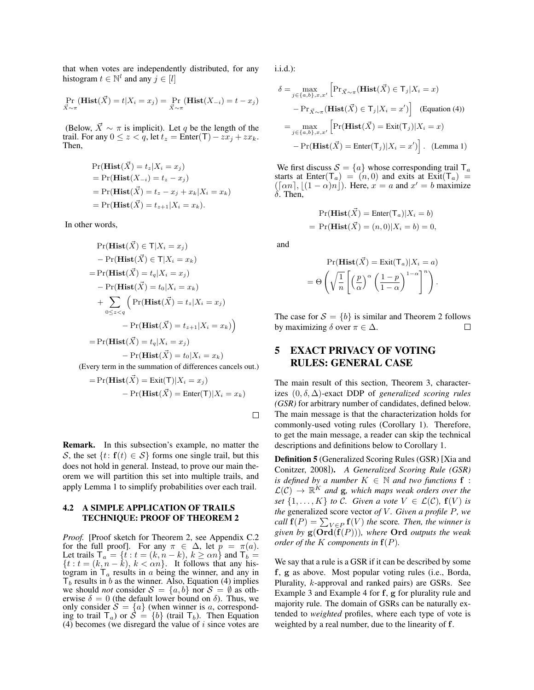that when votes are independently distributed, for any histogram  $t \in \mathbb{N}^l$  and any  $j \in [l]$ 

$$
\Pr_{\vec{X}\sim\pi}(\mathbf{Hist}(\vec{X})=t|X_i=x_j)=\Pr_{\vec{X}\sim\pi}(\mathbf{Hist}(X_{-i})=t-x_j)
$$

(Below,  $\vec{X} \sim \pi$  is implicit). Let q be the length of the trail. For any  $0 \le z < q$ , let  $t_z =$  Enter(T) –  $zx_i + zx_k$ . Then,

$$
Pr(\mathbf{Hist}(\vec{X}) = t_z | X_i = x_j)
$$
  
= Pr(\mathbf{Hist}(X\_{-i}) = t\_z - x\_j)  
= Pr(\mathbf{Hist}(\vec{X}) = t\_z - x\_j + x\_k | X\_i = x\_k)  
= Pr(\mathbf{Hist}(\vec{X}) = t\_{z+1} | X\_i = x\_k).

In other words,

$$
Pr(\mathbf{Hist}(\vec{X}) \in T | X_i = x_j)
$$
  
\n
$$
- Pr(\mathbf{Hist}(\vec{X}) \in T | X_i = x_k)
$$
  
\n
$$
= Pr(\mathbf{Hist}(\vec{X}) = t_q | X_i = x_j)
$$
  
\n
$$
- Pr(\mathbf{Hist}(\vec{X}) = t_0 | X_i = x_k)
$$
  
\n
$$
+ \sum_{0 \le z < q} (Pr(\mathbf{Hist}(\vec{X}) = t_z | X_i = x_j)
$$
  
\n
$$
- Pr(\mathbf{Hist}(\vec{X}) = t_{z+1} | X_i = x_k))
$$
  
\n
$$
= Pr(\mathbf{Hist}(\vec{X}) = t_q | X_i = x_j)
$$
  
\n
$$
- Pr(\mathbf{Hist}(\vec{X}) = t_0 | X_i = x_k)
$$

(Every term in the summation of differences cancels out.)

$$
= Pr(\mathbf{Hist}(\vec{X}) = \text{Exit}(T) | X_i = x_j)
$$

$$
- Pr(\mathbf{Hist}(\vec{X}) = \text{Enter}(T) | X_i = x_k)
$$

 $\Box$ 

Remark. In this subsection's example, no matter the S, the set  $\{t: f(t) \in S\}$  forms one single trail, but this does not hold in general. Instead, to prove our main theorem we will partition this set into multiple trails, and apply Lemma 1 to simplify probabilities over each trail.

### 4.2 A SIMPLE APPLICATION OF TRAILS TECHNIQUE: PROOF OF THEOREM 2

*Proof.* [Proof sketch for Theorem 2, see Appendix C.2 for the full proof]. For any  $\pi \in \Delta$ , let  $p = \pi(a)$ . Let trails  $\mathsf{T}_a = \{t : t = (k, n - k), k \ge \alpha n\}$  and  $\mathsf{T}_b =$  $\{t : t = (k, n - \tilde{k}), k < \alpha n\}$ . It follows that any histogram in  $T_a$  results in a being the winner, and any in  $T_b$  results in b as the winner. Also, Equation (4) implies we should *not* consider  $S = \{a, b\}$  nor  $S = \emptyset$  as otherwise  $\delta = 0$  (the default lower bound on  $\delta$ ). Thus, we only consider  $S = \{a\}$  (when winner is a, corresponding to trail  $T_a$ ) or  $S = \{b\}$  (trail  $T_b$ ). Then Equation (4) becomes (we disregard the value of  $i$  since votes are

i.i.d.):

$$
\delta = \max_{j \in \{a, b\}, x, x'} \left[ \Pr_{\vec{X} \sim \pi}(\mathbf{Hist}(\vec{X}) \in \mathsf{T}_j | X_i = x) \right]
$$

$$
- \Pr_{\vec{X} \sim \pi}(\mathbf{Hist}(\vec{X}) \in \mathsf{T}_j | X_i = x') \right] \quad \text{(Equation (4))}
$$

$$
= \max_{j \in \{a, b\}, x, x'} \left[ \Pr(\mathbf{Hist}(\vec{X}) = \text{Exit}(\mathsf{T}_j) | X_i = x) \right]
$$

$$
- \Pr(\mathbf{Hist}(\vec{X}) = \text{Enter}(\mathsf{T}_j) | X_i = x') \right]. \quad \text{(Lemma 1)}
$$

We first discuss  $S = \{a\}$  whose corresponding trail  $\mathsf{T}_a$ starts at Enter( $T_a$ ) =  $(n, 0)$  and exits at Exit( $T_a$ ) =  $([\alpha n], [(1 - \alpha)n])$ . Here,  $x = a$  and  $x' = b$  maximize  $\delta$ . Then,

$$
Pr(\mathbf{Hist}(\vec{X}) = \text{Enter}(T_a)|X_i = b)
$$

$$
= Pr(\mathbf{Hist}(\vec{X}) = (n, 0)|X_i = b) = 0,
$$

and

$$
\Pr(\mathbf{Hist}(\vec{X}) = \text{Exit}(T_a) | X_i = a)
$$

$$
= \Theta \left( \sqrt{\frac{1}{n} \left[ \left( \frac{p}{\alpha} \right)^{\alpha} \left( \frac{1-p}{1-\alpha} \right)^{1-\alpha} \right]^n} \right).
$$

The case for  $S = \{b\}$  is similar and Theorem 2 follows by maximizing  $\delta$  over  $\pi \in \Delta$ .  $\Box$ 

## 5 EXACT PRIVACY OF VOTING RULES: GENERAL CASE

The main result of this section, Theorem 3, characterizes (0, δ, ∆)-exact DDP of *generalized scoring rules (GSR)* for arbitrary number of candidates, defined below. The main message is that the characterization holds for commonly-used voting rules (Corollary 1). Therefore, to get the main message, a reader can skip the technical descriptions and definitions below to Corollary 1.

Definition 5 (Generalized Scoring Rules (GSR) [Xia and Conitzer, 2008]). *A Generalized Scoring Rule (GSR) is defined by a number*  $K \in \mathbb{N}$  *and two functions* **f** :  $\mathcal{L}(\mathcal{C}) \to \mathbb{R}^K$  and  $g$ , which maps weak orders over the *set*  $\{1, \ldots, K\}$  *to*  $\tilde{C}$ *. Given a vote*  $V \in \mathcal{L}(\mathcal{C})$ *,*  $f(V)$  *is the* generalized score vector of V. Given a profile P, we *call*  $f(P) = \sum_{V \in P} f(V)$  *the* score. Then, the winner is *given by*  $g(\text{Ord}(f(P)))$ *, where* Ord *outputs the weak order of the* K *components in*  $f(P)$ *.* 

We say that a rule is a GSR if it can be described by some f, g as above. Most popular voting rules (i.e., Borda, Plurality, k-approval and ranked pairs) are GSRs. See Example 3 and Example 4 for f, g for plurality rule and majority rule. The domain of GSRs can be naturally extended to *weighted* profiles, where each type of vote is weighted by a real number, due to the linearity of f.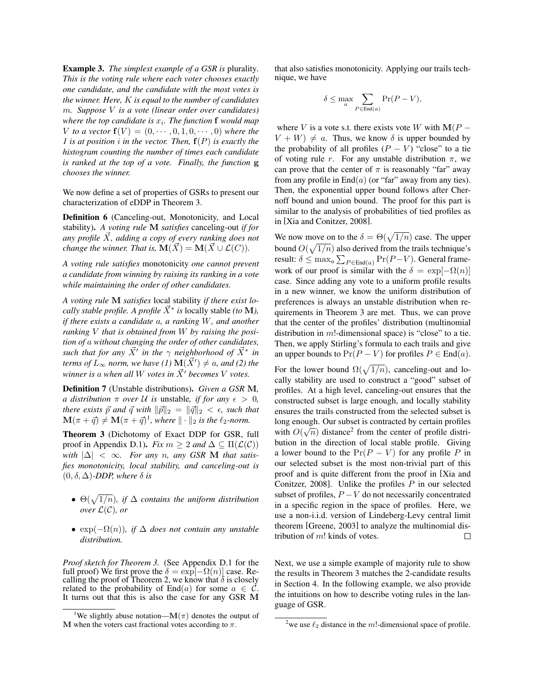Example 3. *The simplest example of a GSR is* plurality*. This is the voting rule where each voter chooses exactly one candidate, and the candidate with the most votes is the winner. Here,* K *is equal to the number of candidates* m*. Suppose* V *is a vote (linear order over candidates)* where the top candidate is  $x_i$ . The function **f** would map *V to a vector*  $f(V) = (0, \dots, 0, 1, 0, \dots, 0)$  *where the 1 is at position* i *in the vector. Then,* f(P) *is exactly the histogram counting the number of times each candidate is ranked at the top of a vote. Finally, the function* g *chooses the winner.*

We now define a set of properties of GSRs to present our characterization of eDDP in Theorem 3.

Definition 6 (Canceling-out, Monotonicity, and Local stability). *A voting rule* M *satisfies* canceling-out *if for* any profile  $\overline{X}$ , adding a copy of every ranking does not *change the winner. That is,*  $\mathbf{M}(\vec{X}) = \mathbf{M}(\vec{X} \cup \mathcal{L}(C)).$ 

*A voting rule satisfies* monotonicity *one cannot prevent a candidate from winning by raising its ranking in a vote while maintaining the order of other candidates.*

*A voting rule* M *satisfies* local stability *if there exist locally stable profile. A profile*  $\vec{X}^*$  *is* locally stable *(to* **M***)*, *if there exists a candidate* a*, a ranking* W*, and another ranking* V *that is obtained from* W *by raising the position of* a *without changing the order of other candidates, such that for any*  $\vec{X}$ <sup>*'*</sup> in the  $\gamma$  *neighborhood of*  $\vec{X}$ <sup>\*</sup> in *terms of*  $\dot{L}_{\infty}$  *norm, we have* (1)  $\mathbf{M}(\vec{X}') \neq a$ *, and* (2) the *winner is a when all W votes in*  $\vec{X}$ <sup>*'*</sup> *becomes V votes.* 

Definition 7 (Unstable distributions). *Given a GSR* M*, a distribution*  $\pi$  *over*  $U$  *is* unstable, *if for any*  $\epsilon > 0$ , *there exists*  $\vec{p}$  *and*  $\vec{q}$  *with*  $\|\vec{p}\|_2 = \|\vec{q}\|_2 < \epsilon$ *, such that*  $\mathbf{M}(\pi + \vec{q}) \neq \mathbf{M}(\pi + \vec{q})^1$ , where  $\|\cdot\|_2$  is the  $\ell_2$ -norm.

Theorem 3 (Dichotomy of Exact DDP for GSR, full proof in Appendix D.1). *Fix*  $m \geq 2$  *and*  $\Delta \subseteq \Pi(\mathcal{L}(\mathcal{C}))$ *with*  $|\Delta| < \infty$ *. For any n, any GSR M that satisfies monotonicity, local stability, and canceling-out is*  $(0, \delta, \Delta)$ *-DDP, where*  $\delta$  *is* 

- $\Theta(\sqrt{1/n})$ , if  $\Delta$  *contains the uniform distribution over*  $\mathcal{L}(\mathcal{C})$ *, or*
- $exp(-\Omega(n))$ *, if*  $\Delta$  *does not contain any unstable distribution.*

*Proof sketch for Theorem 3.* (See Appendix D.1 for the full proof) We first prove the  $\delta = \exp[-\Omega(n)]$  case. Recalling the proof of Theorem 2, we know that  $\delta$  is closely related to the probability of End(a) for some  $a \in \tilde{C}$ . It turns out that this is also the case for any GSR M that also satisfies monotonicity. Applying our trails technique, we have

$$
\delta \leq \max_{a} \sum_{P \in \text{End}(a)} \Pr(P - V),
$$

where V is a vote s.t. there exists vote W with  $M(P V + W$ )  $\neq a$ . Thus, we know  $\delta$  is upper bounded by the probability of all profiles  $(P - V)$  "close" to a tie of voting rule r. For any unstable distribution  $\pi$ , we can prove that the center of  $\pi$  is reasonably "far" away from any profile in  $End(a)$  (or "far" away from any ties). Then, the exponential upper bound follows after Chernoff bound and union bound. The proof for this part is similar to the analysis of probabilities of tied profiles as in [Xia and Conitzer, 2008].

We now move on to the  $\delta = \Theta(\sqrt{1/n})$  case. The upper bound  $O(\sqrt{1/n})$  also derived from the trails technique's result:  $\delta \leq \max_a \sum_{P \in \text{End}(a)} \Pr(P-V)$ . General framework of our proof is similar with the  $\delta = \exp[-\Omega(n)]$ case. Since adding any vote to a uniform profile results in a new winner, we know the uniform distribution of preferences is always an unstable distribution when requirements in Theorem 3 are met. Thus, we can prove that the center of the profiles' distribution (multinomial distribution in  $m!$ -dimensional space) is "close" to a tie. Then, we apply Stirling's formula to each trails and give an upper bounds to  $Pr(P - V)$  for profiles  $P \in End(a)$ .

For the lower bound  $\Omega(\sqrt{1/n})$ , canceling-out and locally stability are used to construct a "good" subset of profiles. At a high level, canceling-out ensures that the constructed subset is large enough, and locally stability ensures the trails constructed from the selected subset is long enough. Our subset is contracted by certain profiles with  $O(\sqrt{n})$  distance<sup>2</sup> from the center of profile distribution in the direction of local stable profile. Giving a lower bound to the  $Pr(P - V)$  for any profile P in our selected subset is the most non-trivial part of this proof and is quite different from the proof in [Xia and Conitzer, 2008]. Unlike the profiles  $P$  in our selected subset of profiles,  $P - V$  do not necessarily concentrated in a specific region in the space of profiles. Here, we use a non-i.i.d. version of Lindeberg-Levy central limit theorem [Greene, 2003] to analyze the multinomial distribution of m! kinds of votes.  $\Box$ 

Next, we use a simple example of majority rule to show the results in Theorem 3 matches the 2-candidate results in Section 4. In the following example, we also provide the intuitions on how to describe voting rules in the language of GSR.

<sup>&</sup>lt;sup>1</sup>We slightly abuse notation—M( $\pi$ ) denotes the output of M when the voters cast fractional votes according to  $\pi$ .

<sup>&</sup>lt;sup>2</sup>we use  $\ell_2$  distance in the m!-dimensional space of profile.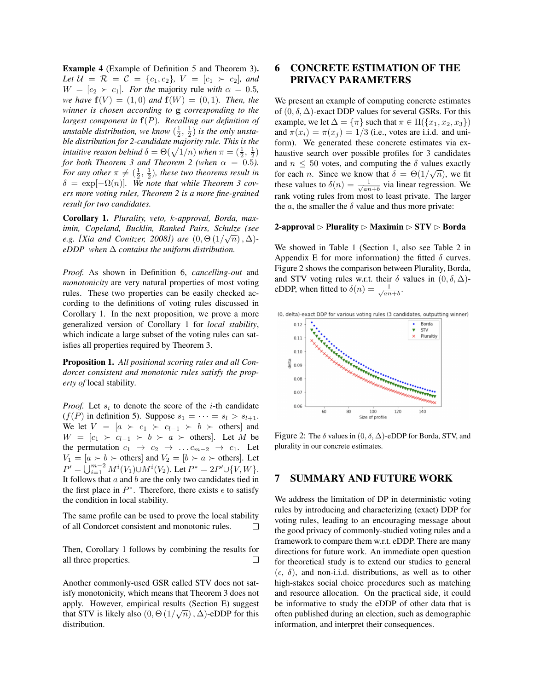Example 4 (Example of Definition 5 and Theorem 3). *Let*  $U = \mathcal{R} = \mathcal{C} = \{c_1, c_2\}$ ,  $V = [c_1 \succ c_2]$ , and  $W = [c_2 \succ c_1]$ *. For the majority rule with*  $\alpha = 0.5$ *, we have*  $f(V) = (1, 0)$  *and*  $f(W) = (0, 1)$ *. Then, the winner is chosen according to* g *corresponding to the largest component in* f(P)*. Recalling our definition of unstable distribution, we know*  $(\frac{1}{2}, \frac{1}{2})$  *is the only unstable distribution for 2-candidate majority rule. This is the intuitive reason behind*  $\delta = \Theta(\sqrt{1/n})$  *when*  $\pi = (\frac{1}{2}, \frac{1}{2})$ *for both Theorem 3 and Theorem 2 (when*  $\alpha = 0.5$ ). *For any other*  $\pi \neq (\frac{1}{2}, \frac{1}{2})$ *, these two theorems result in*  $\delta = \exp[-\Omega(n)]$ . We note that while Theorem 3 cov*ers more voting rules, Theorem 2 is a more fine-grained result for two candidates.*

Corollary 1. *Plurality, veto,* k*-approval, Borda, maximin, Copeland, Bucklin, Ranked Pairs, Schulze (see* √ *e.g.* [Xia and Conitzer, 2008]) are  $(0, \Theta(1/\sqrt{n}), \Delta)$ *eDDP when* ∆ *contains the uniform distribution.*

*Proof.* As shown in Definition 6, *cancelling-out* and *monotonicity* are very natural properties of most voting rules. These two properties can be easily checked according to the definitions of voting rules discussed in Corollary 1. In the next proposition, we prove a more generalized version of Corollary 1 for *local stability*, which indicate a large subset of the voting rules can satisfies all properties required by Theorem 3.

Proposition 1. *All positional scoring rules and all Condorcet consistent and monotonic rules satisfy the property of* local stability*.*

*Proof.* Let  $s_i$  to denote the score of the *i*-th candidate  $(f(P)$  in definition 5). Suppose  $s_1 = \cdots = s_l > s_{l+1}$ . We let  $V = [a \succ c_1 \succ c_{l-1} \succ b \succ$  others] and  $W = [c_1 \succ c_{l-1} \succ b \succ a \succ \text{others}]$ . Let M be the permutation  $c_1 \rightarrow c_2 \rightarrow \ldots c_{m-2} \rightarrow c_1$ . Let  $V_1 = [a \succ b \succ \text{others}]$  and  $V_2 = [b \succ a \succ \text{others}]$ . Let  $P' = \bigcup_{i=1}^{m-2} M^i(V_1) \cup M^i(V_2)$ . Let  $P^* = 2P' \cup \{V, W\}$ . It follows that  $a$  and  $b$  are the only two candidates tied in the first place in  $P^*$ . Therefore, there exists  $\epsilon$  to satisfy the condition in local stability.

The same profile can be used to prove the local stability of all Condorcet consistent and monotonic rules. П

Then, Corollary 1 follows by combining the results for all three properties.  $\Box$ 

Another commonly-used GSR called STV does not satisfy monotonicity, which means that Theorem 3 does not apply. However, empirical results (Section E) suggest that STV is likely also  $(0, \Theta(1/\sqrt{n}), \Delta)$ -eDDP for this distribution.

## 6 CONCRETE ESTIMATION OF THE PRIVACY PARAMETERS

We present an example of computing concrete estimates of  $(0, \delta, \Delta)$ -exact DDP values for several GSRs. For this example, we let  $\Delta = {\pi}$  such that  $\pi \in \Pi({x_1, x_2, x_3})$ and  $\pi(x_i) = \pi(x_i) = 1/3$  (i.e., votes are i.i.d. and uniform). We generated these concrete estimates via exhaustive search over possible profiles for 3 candidates and  $n \leq 50$  votes, and computing the  $\delta$  values exactly for each *n*. Since we know that  $\delta = \Theta(1/\sqrt{n})$ , we fit these values to  $\delta(n) = \frac{1}{\sqrt{2n}}$  $\frac{1}{an+b}$  via linear regression. We rank voting rules from most to least private. The larger the *a*, the smaller the  $\delta$  value and thus more private:

#### 2-approval  $\triangleright$  Plurality  $\triangleright$  Maximin  $\triangleright$  STV  $\triangleright$  Borda

We showed in Table 1 (Section 1, also see Table 2 in Appendix E for more information) the fitted  $\delta$  curves. Figure 2 shows the comparison between Plurality, Borda, and STV voting rules w.r.t. their  $\delta$  values in  $(0, \delta, \Delta)$ eDDP, when fitted to  $\delta(n) = \frac{1}{\sqrt{2n}}$  $\frac{1}{an+b}$ .



Figure 2: The  $\delta$  values in  $(0, \delta, \Delta)$ -eDDP for Borda, STV, and plurality in our concrete estimates.

## 7 SUMMARY AND FUTURE WORK

We address the limitation of DP in deterministic voting rules by introducing and characterizing (exact) DDP for voting rules, leading to an encouraging message about the good privacy of commonly-studied voting rules and a framework to compare them w.r.t. eDDP. There are many directions for future work. An immediate open question for theoretical study is to extend our studies to general  $(\epsilon, \delta)$ , and non-i.i.d. distributions, as well as to other high-stakes social choice procedures such as matching and resource allocation. On the practical side, it could be informative to study the eDDP of other data that is often published during an election, such as demographic information, and interpret their consequences.